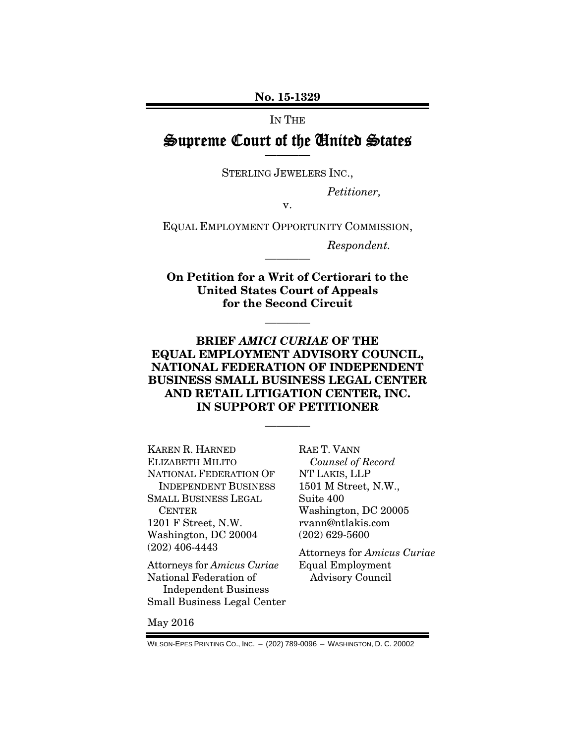No. 15-1329

IN THE

## Supreme Court of the United States ————

STERLING JEWELERS INC.,

*Petitioner,* 

v.

EQUAL EMPLOYMENT OPPORTUNITY COMMISSION,

*Respondent.* 

On Petition for a Writ of Certiorari to the United States Court of Appeals for the Second Circuit

————

————

### BRIEF *AMICI CURIAE* OF THE EQUAL EMPLOYMENT ADVISORY COUNCIL, NATIONAL FEDERATION OF INDEPENDENT BUSINESS SMALL BUSINESS LEGAL CENTER AND RETAIL LITIGATION CENTER, INC. IN SUPPORT OF PETITIONER

————

KAREN R. HARNED ELIZABETH MILITO NATIONAL FEDERATION OF INDEPENDENT BUSINESS SMALL BUSINESS LEGAL **CENTER** 1201 F Street, N.W. Washington, DC 20004 (202) 406-4443

Attorneys for *Amicus Curiae* National Federation of Independent Business Small Business Legal Center RAE T. VANN *Counsel of Record*  NT LAKIS, LLP 1501 M Street, N.W., Suite 400 Washington, DC 20005 rvann@ntlakis.com (202) 629-5600

Attorneys for *Amicus Curiae*  Equal Employment Advisory Council

May 2016

WILSON-EPES PRINTING CO., INC. – (202) 789-0096 – WASHINGTON, D. C. 20002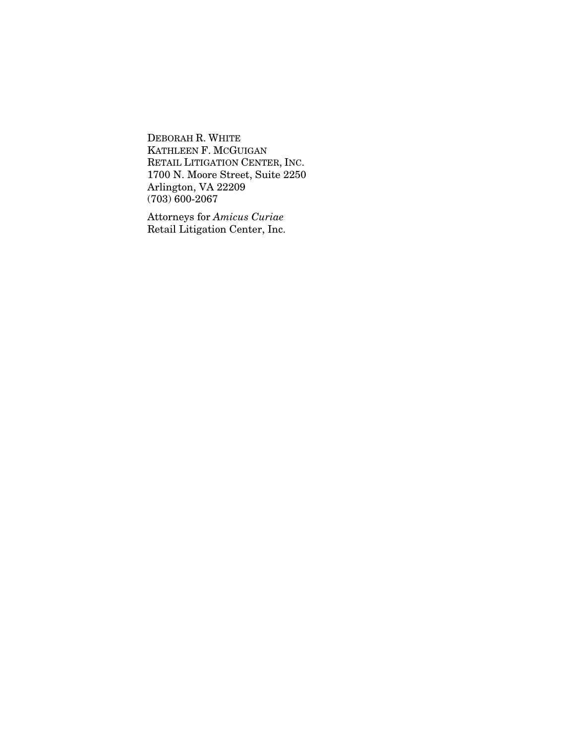DEBORAH R. WHITE KATHLEEN F. MCGUIGAN RETAIL LITIGATION CENTER, INC. 1700 N. Moore Street, Suite 2250 Arlington, VA 22209  $(703)\,600-2067$ 

Attorneys for *Amicus Curiae* Retail Litigation Center, Inc.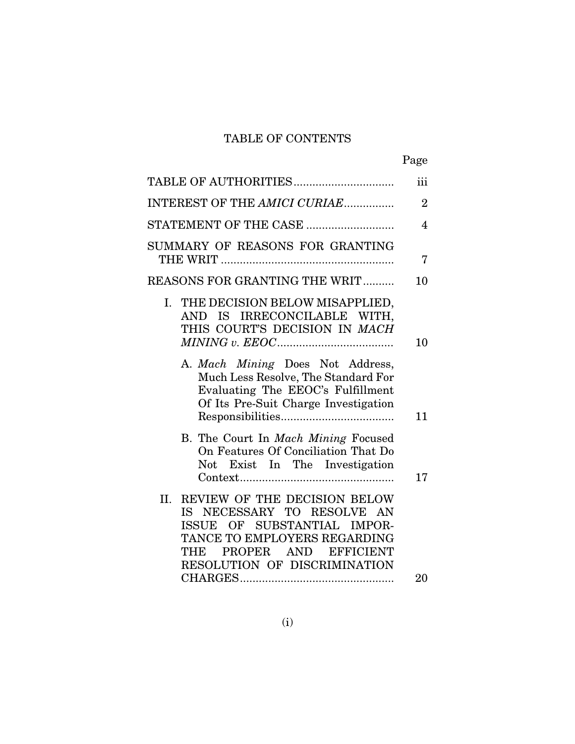# TABLE OF CONTENTS

|                                                                                                                                                                                              | Page           |
|----------------------------------------------------------------------------------------------------------------------------------------------------------------------------------------------|----------------|
| TABLE OF AUTHORITIES                                                                                                                                                                         | iii            |
| INTEREST OF THE AMICI CURIAE                                                                                                                                                                 | $\overline{2}$ |
| STATEMENT OF THE CASE                                                                                                                                                                        | $\overline{4}$ |
| SUMMARY OF REASONS FOR GRANTING                                                                                                                                                              | 7              |
| <b>REASONS FOR GRANTING THE WRIT</b>                                                                                                                                                         | 10             |
| I. THE DECISION BELOW MISAPPLIED,<br>AND IS IRRECONCILABLE WITH,<br>THIS COURT'S DECISION IN MACH                                                                                            | 10             |
| A. Mach Mining Does Not Address,<br>Much Less Resolve, The Standard For<br>Evaluating The EEOC's Fulfillment<br>Of Its Pre-Suit Charge Investigation                                         | 11             |
| B. The Court In Mach Mining Focused<br>On Features Of Conciliation That Do<br>Not Exist In The Investigation                                                                                 | 17             |
| II. REVIEW OF THE DECISION BELOW<br>IS NECESSARY TO RESOLVE AN<br>ISSUE OF SUBSTANTIAL IMPOR-<br>TANCE TO EMPLOYERS REGARDING<br>PROPER AND EFFICIENT<br>THE<br>RESOLUTION OF DISCRIMINATION | 20             |
|                                                                                                                                                                                              |                |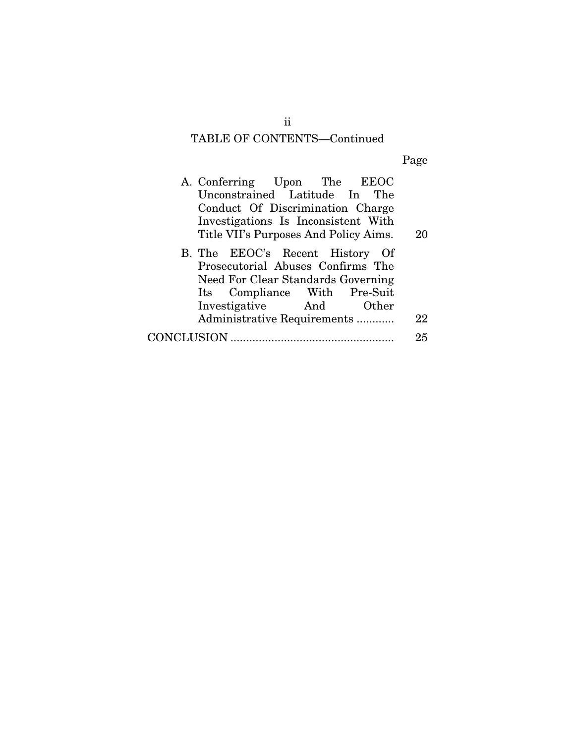# TABLE OF CONTENTS—Continued

Page

|            | A. Conferring Upon The EEOC           |  |    |
|------------|---------------------------------------|--|----|
|            | Unconstrained Latitude In The         |  |    |
|            | Conduct Of Discrimination Charge      |  |    |
|            | Investigations Is Inconsistent With   |  |    |
|            | Title VII's Purposes And Policy Aims. |  | 20 |
|            | B. The EEOC's Recent History Of       |  |    |
|            | Prosecutorial Abuses Confirms The     |  |    |
|            | Need For Clear Standards Governing    |  |    |
|            | Its Compliance With Pre-Suit          |  |    |
|            | Investigative And Other               |  |    |
|            | Administrative Requirements           |  | 22 |
| CONCLUSION |                                       |  | 25 |

ii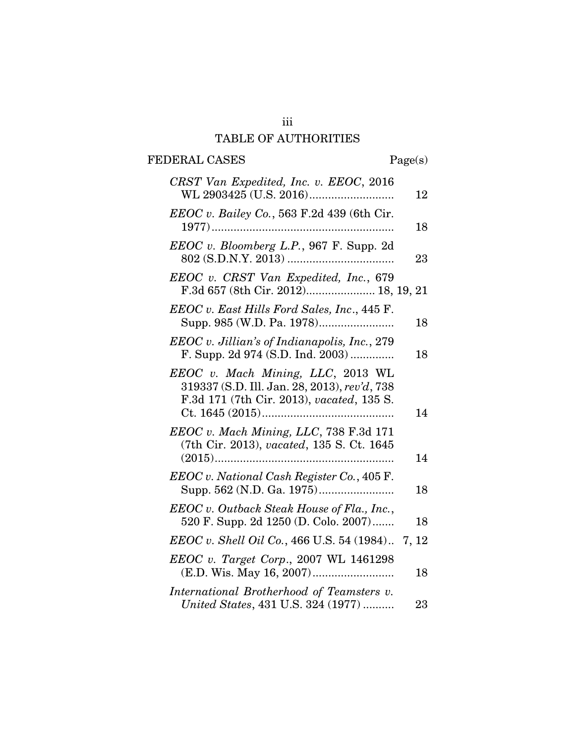# iii TABLE OF AUTHORITIES

# FEDERAL CASES Page(s)

| CRST Van Expedited, Inc. v. EEOC, 2016                                                                                         | 12 |
|--------------------------------------------------------------------------------------------------------------------------------|----|
| EEOC v. Bailey Co., 563 F.2d 439 (6th Cir.<br>$1977)$                                                                          | 18 |
| EEOC v. Bloomberg L.P., 967 F. Supp. 2d                                                                                        | 23 |
| EEOC v. CRST Van Expedited, Inc., 679<br>F.3d 657 (8th Cir. 2012) 18, 19, 21                                                   |    |
| EEOC v. East Hills Ford Sales, Inc., 445 F.                                                                                    | 18 |
| EEOC v. Jillian's of Indianapolis, Inc., 279<br>F. Supp. 2d 974 (S.D. Ind. 2003)                                               | 18 |
| EEOC v. Mach Mining, LLC, 2013 WL<br>319337 (S.D. Ill. Jan. 28, 2013), rev'd, 738<br>F.3d 171 (7th Cir. 2013), vacated, 135 S. | 14 |
| EEOC v. Mach Mining, LLC, 738 F.3d 171<br>(7th Cir. 2013), vacated, 135 S. Ct. 1645                                            | 14 |
| EEOC v. National Cash Register Co., 405 F.                                                                                     | 18 |
| EEOC v. Outback Steak House of Fla., Inc.,<br>520 F. Supp. 2d 1250 (D. Colo. 2007)                                             | 18 |
| EEOC v. Shell Oil Co., 466 U.S. 54 (1984). 7, 12                                                                               |    |
| EEOC v. Target Corp., 2007 WL 1461298                                                                                          | 18 |
| International Brotherhood of Teamsters v.<br>United States, 431 U.S. 324 (1977)                                                | 23 |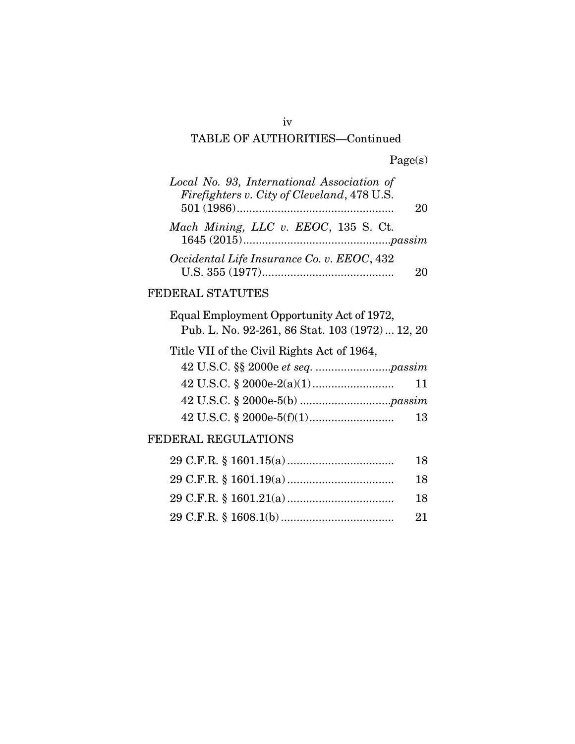## TABLE OF AUTHORITIES—Continued

| Local No. 93, International Association of  |    |
|---------------------------------------------|----|
| Firefighters v. City of Cleveland, 478 U.S. | 20 |
| Mach Mining, LLC v. EEOC, 135 S. Ct.        |    |
|                                             |    |
| Occidental Life Insurance Co. v. EEOC, 432  |    |

## FEDERAL STATUTES

| Equal Employment Opportunity Act of 1972,<br>Pub. L. No. 92-261, 86 Stat. 103 (1972)  12, 20 |
|----------------------------------------------------------------------------------------------|
| Title VII of the Civil Rights Act of 1964,                                                   |
|                                                                                              |
| 11                                                                                           |
|                                                                                              |
| 13                                                                                           |
|                                                                                              |

## FEDERAL REGULATIONS

| 18  |
|-----|
| -18 |
| 18  |
|     |

iv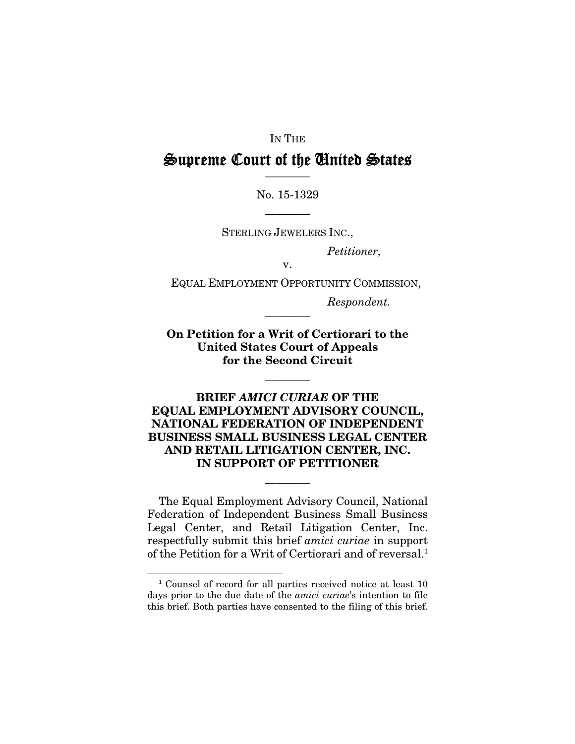#### IN THE

# Supreme Court of the United States ————

No. 15-1329

STERLING JEWELERS INC.,

————

*Petitioner,* 

v.

EQUAL EMPLOYMENT OPPORTUNITY COMMISSION,

*Respondent.* 

On Petition for a Writ of Certiorari to the United States Court of Appeals for the Second Circuit

————

————

### BRIEF *AMICI CURIAE* OF THE EQUAL EMPLOYMENT ADVISORY COUNCIL, NATIONAL FEDERATION OF INDEPENDENT BUSINESS SMALL BUSINESS LEGAL CENTER AND RETAIL LITIGATION CENTER, INC. IN SUPPORT OF PETITIONER

The Equal Employment Advisory Council, National Federation of Independent Business Small Business Legal Center, and Retail Litigation Center, Inc. respectfully submit this brief *amici curiae* in support of the Petition for a Writ of Certiorari and of reversal.<sup>1</sup>

————

1

<sup>&</sup>lt;sup>1</sup> Counsel of record for all parties received notice at least 10 days prior to the due date of the *amici curiae*'s intention to file this brief. Both parties have consented to the filing of this brief.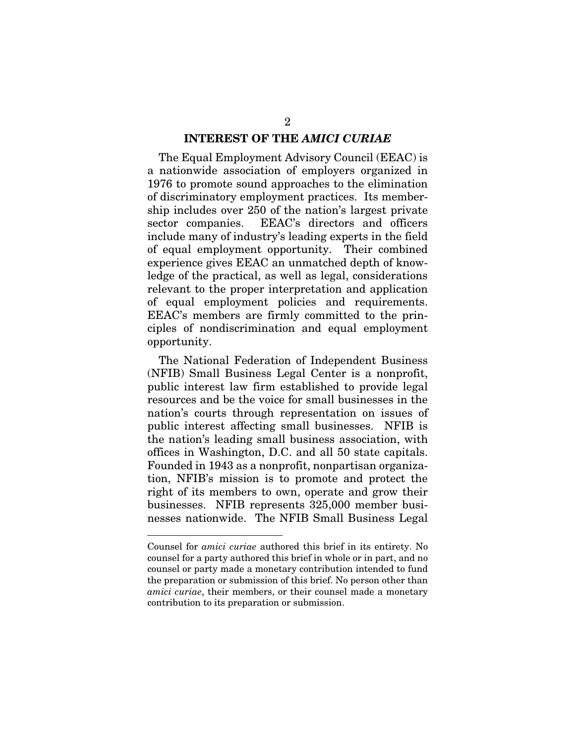#### INTEREST OF THE *AMICI CURIAE*

The Equal Employment Advisory Council (EEAC) is a nationwide association of employers organized in 1976 to promote sound approaches to the elimination of discriminatory employment practices. Its membership includes over 250 of the nation's largest private sector companies. EEAC's directors and officers include many of industry's leading experts in the field of equal employment opportunity. Their combined experience gives EEAC an unmatched depth of knowledge of the practical, as well as legal, considerations relevant to the proper interpretation and application of equal employment policies and requirements. EEAC's members are firmly committed to the principles of nondiscrimination and equal employment opportunity.

The National Federation of Independent Business (NFIB) Small Business Legal Center is a nonprofit, public interest law firm established to provide legal resources and be the voice for small businesses in the nation's courts through representation on issues of public interest affecting small businesses. NFIB is the nation's leading small business association, with offices in Washington, D.C. and all 50 state capitals. Founded in 1943 as a nonprofit, nonpartisan organization, NFIB's mission is to promote and protect the right of its members to own, operate and grow their businesses. NFIB represents 325,000 member businesses nationwide. The NFIB Small Business Legal

1

Counsel for *amici curiae* authored this brief in its entirety. No counsel for a party authored this brief in whole or in part, and no counsel or party made a monetary contribution intended to fund the preparation or submission of this brief. No person other than *amici curiae*, their members, or their counsel made a monetary contribution to its preparation or submission.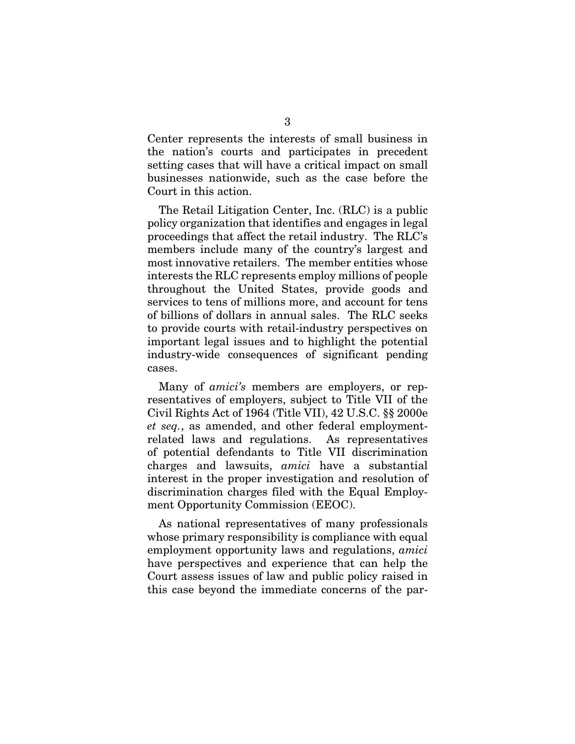Center represents the interests of small business in the nation's courts and participates in precedent setting cases that will have a critical impact on small businesses nationwide, such as the case before the Court in this action.

The Retail Litigation Center, Inc. (RLC) is a public policy organization that identifies and engages in legal proceedings that affect the retail industry. The RLC's members include many of the country's largest and most innovative retailers. The member entities whose interests the RLC represents employ millions of people throughout the United States, provide goods and services to tens of millions more, and account for tens of billions of dollars in annual sales. The RLC seeks to provide courts with retail-industry perspectives on important legal issues and to highlight the potential industry-wide consequences of significant pending cases.

Many of *amici's* members are employers, or representatives of employers, subject to Title VII of the Civil Rights Act of 1964 (Title VII), 42 U.S.C. §§ 2000e *et seq.*, as amended, and other federal employmentrelated laws and regulations. As representatives of potential defendants to Title VII discrimination charges and lawsuits, *amici* have a substantial interest in the proper investigation and resolution of discrimination charges filed with the Equal Employment Opportunity Commission (EEOC).

As national representatives of many professionals whose primary responsibility is compliance with equal employment opportunity laws and regulations, *amici*  have perspectives and experience that can help the Court assess issues of law and public policy raised in this case beyond the immediate concerns of the par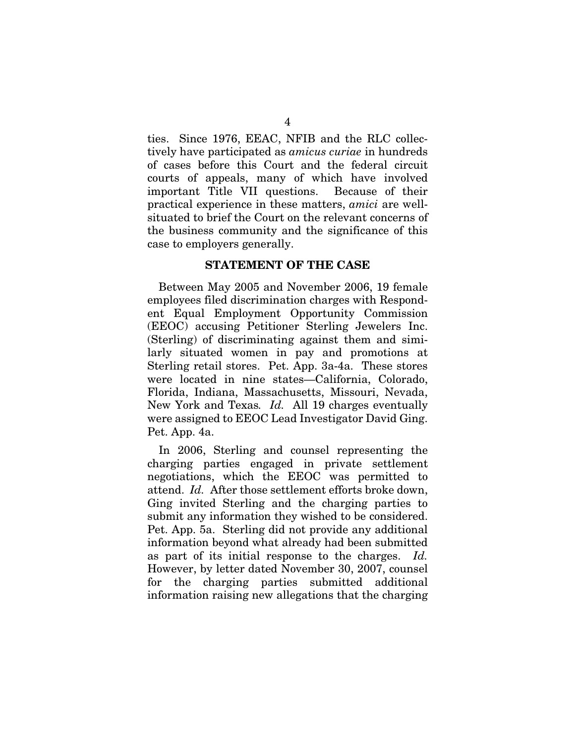ties. Since 1976, EEAC, NFIB and the RLC collectively have participated as *amicus curiae* in hundreds of cases before this Court and the federal circuit courts of appeals, many of which have involved important Title VII questions. Because of their practical experience in these matters, *amici* are wellsituated to brief the Court on the relevant concerns of the business community and the significance of this case to employers generally.

#### STATEMENT OF THE CASE

Between May 2005 and November 2006, 19 female employees filed discrimination charges with Respondent Equal Employment Opportunity Commission (EEOC) accusing Petitioner Sterling Jewelers Inc. (Sterling) of discriminating against them and similarly situated women in pay and promotions at Sterling retail stores. Pet. App. 3a-4a. These stores were located in nine states—California, Colorado, Florida, Indiana, Massachusetts, Missouri, Nevada, New York and Texas*. Id.* All 19 charges eventually were assigned to EEOC Lead Investigator David Ging. Pet. App. 4a.

In 2006, Sterling and counsel representing the charging parties engaged in private settlement negotiations, which the EEOC was permitted to attend. *Id.* After those settlement efforts broke down, Ging invited Sterling and the charging parties to submit any information they wished to be considered. Pet. App. 5a. Sterling did not provide any additional information beyond what already had been submitted as part of its initial response to the charges. *Id.*  However, by letter dated November 30, 2007, counsel for the charging parties submitted additional information raising new allegations that the charging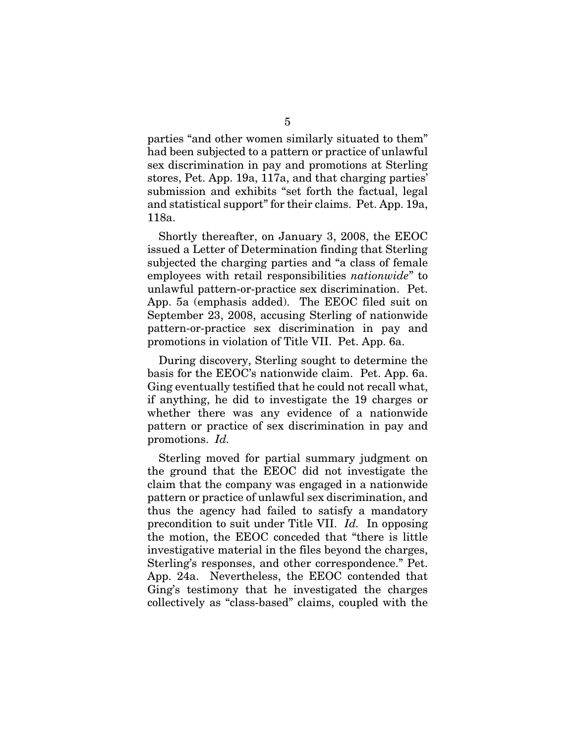parties "and other women similarly situated to them" had been subjected to a pattern or practice of unlawful sex discrimination in pay and promotions at Sterling stores, Pet. App. 19a, 117a, and that charging parties' submission and exhibits "set forth the factual, legal and statistical support" for their claims. Pet. App. 19a, 118a.

Shortly thereafter, on January 3, 2008, the EEOC issued a Letter of Determination finding that Sterling subjected the charging parties and "a class of female employees with retail responsibilities *nationwide*" to unlawful pattern-or-practice sex discrimination. Pet. App. 5a (emphasis added). The EEOC filed suit on September 23, 2008, accusing Sterling of nationwide pattern-or-practice sex discrimination in pay and promotions in violation of Title VII. Pet. App. 6a.

During discovery, Sterling sought to determine the basis for the EEOC's nationwide claim. Pet. App. 6a. Ging eventually testified that he could not recall what, if anything, he did to investigate the 19 charges or whether there was any evidence of a nationwide pattern or practice of sex discrimination in pay and promotions. *Id.* 

Sterling moved for partial summary judgment on the ground that the EEOC did not investigate the claim that the company was engaged in a nationwide pattern or practice of unlawful sex discrimination, and thus the agency had failed to satisfy a mandatory precondition to suit under Title VII. *Id.* In opposing the motion, the EEOC conceded that "there is little investigative material in the files beyond the charges, Sterling's responses, and other correspondence." Pet. App. 24a. Nevertheless, the EEOC contended that Ging's testimony that he investigated the charges collectively as "class-based" claims, coupled with the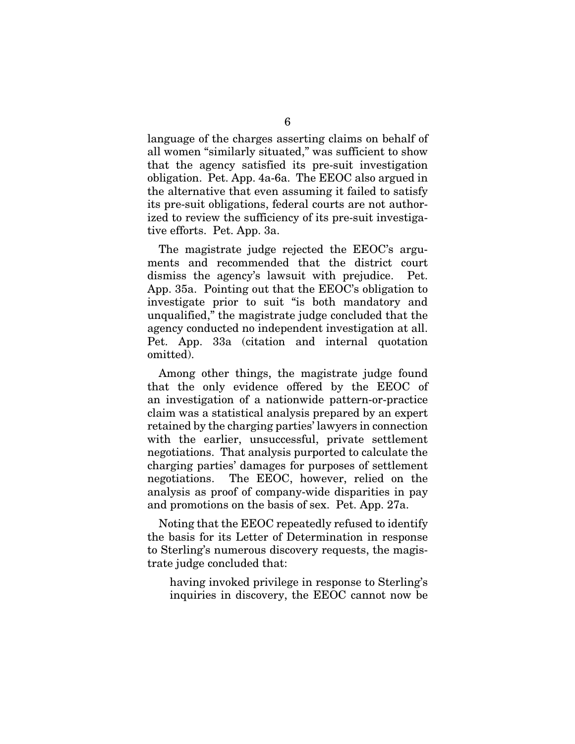language of the charges asserting claims on behalf of all women "similarly situated," was sufficient to show that the agency satisfied its pre-suit investigation obligation. Pet. App. 4a-6a. The EEOC also argued in the alternative that even assuming it failed to satisfy its pre-suit obligations, federal courts are not authorized to review the sufficiency of its pre-suit investigative efforts. Pet. App. 3a.

The magistrate judge rejected the EEOC's arguments and recommended that the district court dismiss the agency's lawsuit with prejudice. Pet. App. 35a. Pointing out that the EEOC's obligation to investigate prior to suit "is both mandatory and unqualified," the magistrate judge concluded that the agency conducted no independent investigation at all. Pet. App. 33a (citation and internal quotation omitted).

Among other things, the magistrate judge found that the only evidence offered by the EEOC of an investigation of a nationwide pattern-or-practice claim was a statistical analysis prepared by an expert retained by the charging parties' lawyers in connection with the earlier, unsuccessful, private settlement negotiations. That analysis purported to calculate the charging parties' damages for purposes of settlement negotiations. The EEOC, however, relied on the analysis as proof of company-wide disparities in pay and promotions on the basis of sex. Pet. App. 27a.

Noting that the EEOC repeatedly refused to identify the basis for its Letter of Determination in response to Sterling's numerous discovery requests, the magistrate judge concluded that:

having invoked privilege in response to Sterling's inquiries in discovery, the EEOC cannot now be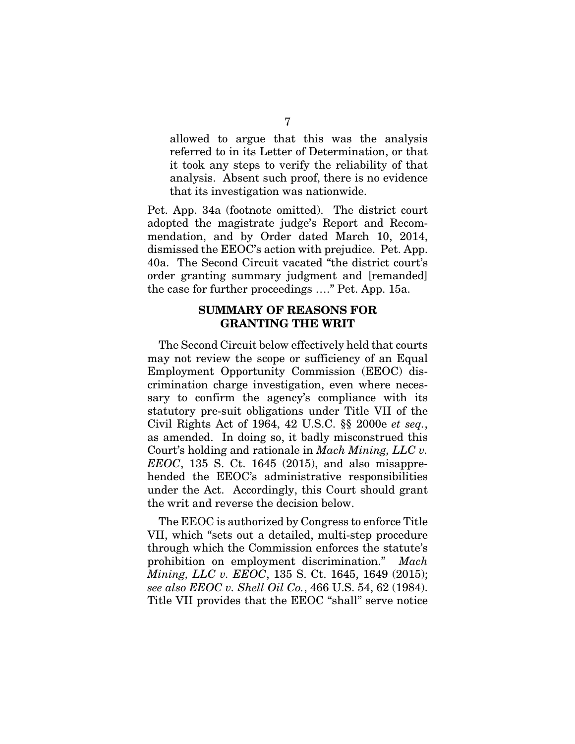allowed to argue that this was the analysis referred to in its Letter of Determination, or that it took any steps to verify the reliability of that analysis. Absent such proof, there is no evidence that its investigation was nationwide.

Pet. App. 34a (footnote omitted). The district court adopted the magistrate judge's Report and Recommendation, and by Order dated March 10, 2014, dismissed the EEOC's action with prejudice. Pet. App. 40a. The Second Circuit vacated "the district court's order granting summary judgment and [remanded] the case for further proceedings …." Pet. App. 15a.

#### SUMMARY OF REASONS FOR GRANTING THE WRIT

The Second Circuit below effectively held that courts may not review the scope or sufficiency of an Equal Employment Opportunity Commission (EEOC) discrimination charge investigation, even where necessary to confirm the agency's compliance with its statutory pre-suit obligations under Title VII of the Civil Rights Act of 1964, 42 U.S.C. §§ 2000e *et seq.*, as amended. In doing so, it badly misconstrued this Court's holding and rationale in *Mach Mining, LLC v. EEOC*, 135 S. Ct. 1645 (2015), and also misapprehended the EEOC's administrative responsibilities under the Act. Accordingly, this Court should grant the writ and reverse the decision below.

The EEOC is authorized by Congress to enforce Title VII, which "sets out a detailed, multi-step procedure through which the Commission enforces the statute's prohibition on employment discrimination." *Mach Mining, LLC v. EEOC*, 135 S. Ct. 1645, 1649 (2015); *see also EEOC v. Shell Oil Co.*, 466 U.S. 54, 62 (1984). Title VII provides that the EEOC "shall" serve notice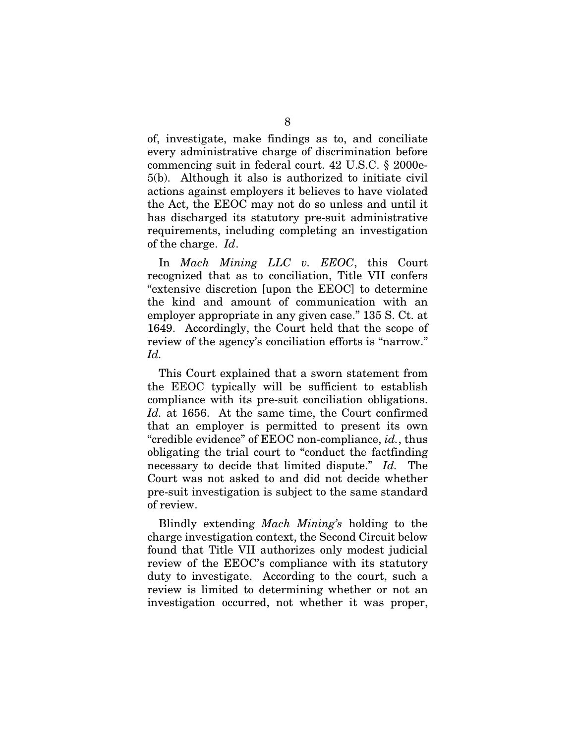of, investigate, make findings as to, and conciliate every administrative charge of discrimination before commencing suit in federal court. 42 U.S.C. § 2000e-5(b). Although it also is authorized to initiate civil actions against employers it believes to have violated the Act, the EEOC may not do so unless and until it has discharged its statutory pre-suit administrative requirements, including completing an investigation of the charge. *Id*.

In *Mach Mining LLC v. EEOC*, this Court recognized that as to conciliation, Title VII confers "extensive discretion [upon the EEOC] to determine the kind and amount of communication with an employer appropriate in any given case." 135 S. Ct. at 1649. Accordingly, the Court held that the scope of review of the agency's conciliation efforts is "narrow." *Id.*

This Court explained that a sworn statement from the EEOC typically will be sufficient to establish compliance with its pre-suit conciliation obligations. *Id.* at 1656. At the same time, the Court confirmed that an employer is permitted to present its own "credible evidence" of EEOC non-compliance, *id.*, thus obligating the trial court to "conduct the factfinding necessary to decide that limited dispute." *Id.* The Court was not asked to and did not decide whether pre-suit investigation is subject to the same standard of review.

Blindly extending *Mach Mining's* holding to the charge investigation context, the Second Circuit below found that Title VII authorizes only modest judicial review of the EEOC's compliance with its statutory duty to investigate. According to the court, such a review is limited to determining whether or not an investigation occurred, not whether it was proper,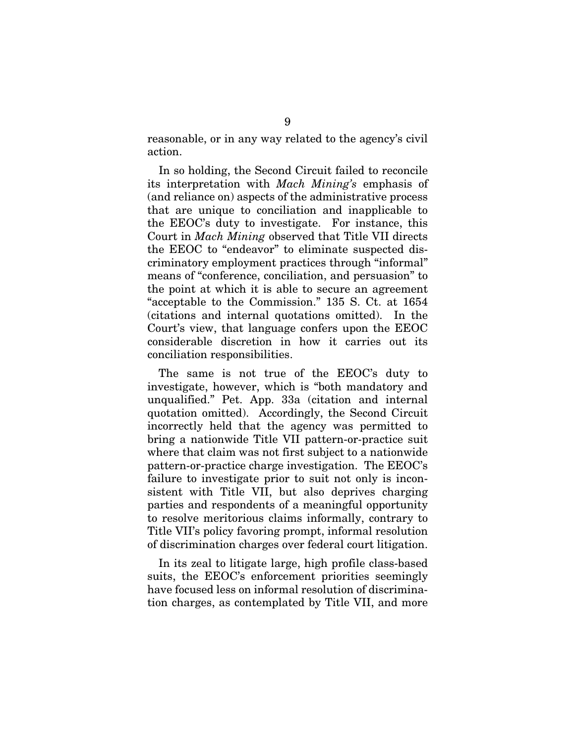reasonable, or in any way related to the agency's civil action.

In so holding, the Second Circuit failed to reconcile its interpretation with *Mach Mining's* emphasis of (and reliance on) aspects of the administrative process that are unique to conciliation and inapplicable to the EEOC's duty to investigate. For instance, this Court in *Mach Mining* observed that Title VII directs the EEOC to "endeavor" to eliminate suspected discriminatory employment practices through "informal" means of "conference, conciliation, and persuasion" to the point at which it is able to secure an agreement "acceptable to the Commission." 135 S. Ct. at 1654 (citations and internal quotations omitted). In the Court's view, that language confers upon the EEOC considerable discretion in how it carries out its conciliation responsibilities.

The same is not true of the EEOC's duty to investigate, however, which is "both mandatory and unqualified." Pet. App. 33a (citation and internal quotation omitted). Accordingly, the Second Circuit incorrectly held that the agency was permitted to bring a nationwide Title VII pattern-or-practice suit where that claim was not first subject to a nationwide pattern-or-practice charge investigation. The EEOC's failure to investigate prior to suit not only is inconsistent with Title VII, but also deprives charging parties and respondents of a meaningful opportunity to resolve meritorious claims informally, contrary to Title VII's policy favoring prompt, informal resolution of discrimination charges over federal court litigation.

In its zeal to litigate large, high profile class-based suits, the EEOC's enforcement priorities seemingly have focused less on informal resolution of discrimination charges, as contemplated by Title VII, and more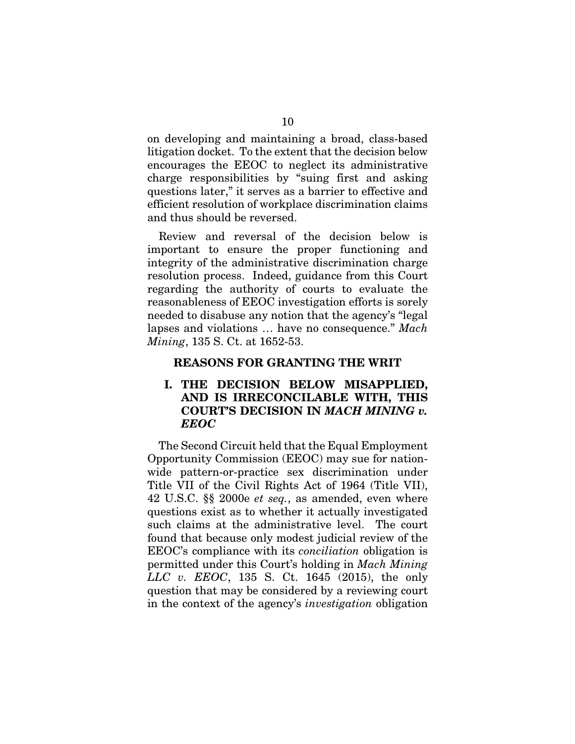on developing and maintaining a broad, class-based litigation docket. To the extent that the decision below encourages the EEOC to neglect its administrative charge responsibilities by "suing first and asking questions later," it serves as a barrier to effective and efficient resolution of workplace discrimination claims and thus should be reversed.

Review and reversal of the decision below is important to ensure the proper functioning and integrity of the administrative discrimination charge resolution process. Indeed, guidance from this Court regarding the authority of courts to evaluate the reasonableness of EEOC investigation efforts is sorely needed to disabuse any notion that the agency's "legal lapses and violations … have no consequence." *Mach Mining*, 135 S. Ct. at 1652-53.

#### REASONS FOR GRANTING THE WRIT

### I. THE DECISION BELOW MISAPPLIED, AND IS IRRECONCILABLE WITH, THIS COURT'S DECISION IN *MACH MINING v. EEOC*

The Second Circuit held that the Equal Employment Opportunity Commission (EEOC) may sue for nationwide pattern-or-practice sex discrimination under Title VII of the Civil Rights Act of 1964 (Title VII), 42 U.S.C. §§ 2000e *et seq.*, as amended, even where questions exist as to whether it actually investigated such claims at the administrative level. The court found that because only modest judicial review of the EEOC's compliance with its *conciliation* obligation is permitted under this Court's holding in *Mach Mining LLC v. EEOC*, 135 S. Ct. 1645 (2015), the only question that may be considered by a reviewing court in the context of the agency's *investigation* obligation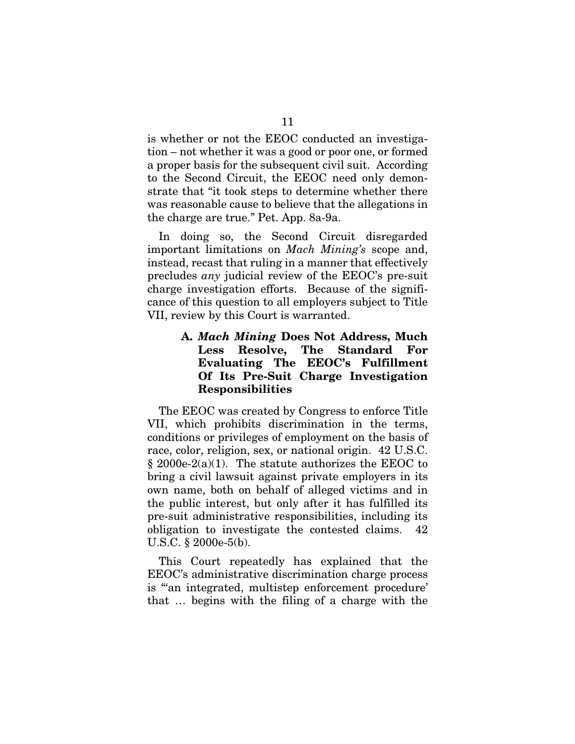is whether or not the EEOC conducted an investigation – not whether it was a good or poor one, or formed a proper basis for the subsequent civil suit. According to the Second Circuit, the EEOC need only demonstrate that "it took steps to determine whether there was reasonable cause to believe that the allegations in the charge are true." Pet. App. 8a-9a.

In doing so, the Second Circuit disregarded important limitations on *Mach Mining's* scope and, instead, recast that ruling in a manner that effectively precludes *any* judicial review of the EEOC's pre-suit charge investigation efforts. Because of the significance of this question to all employers subject to Title VII, review by this Court is warranted.

### A. *Mach Mining* Does Not Address, Much Less Resolve, The Standard For Evaluating The EEOC's Fulfillment Of Its Pre-Suit Charge Investigation Responsibilities

The EEOC was created by Congress to enforce Title VII, which prohibits discrimination in the terms, conditions or privileges of employment on the basis of race, color, religion, sex, or national origin. 42 U.S.C.  $§ 2000e-2(a)(1)$ . The statute authorizes the EEOC to bring a civil lawsuit against private employers in its own name, both on behalf of alleged victims and in the public interest, but only after it has fulfilled its pre-suit administrative responsibilities, including its obligation to investigate the contested claims. 42 U.S.C. § 2000e-5(b).

This Court repeatedly has explained that the EEOC's administrative discrimination charge process is "'an integrated, multistep enforcement procedure' that … begins with the filing of a charge with the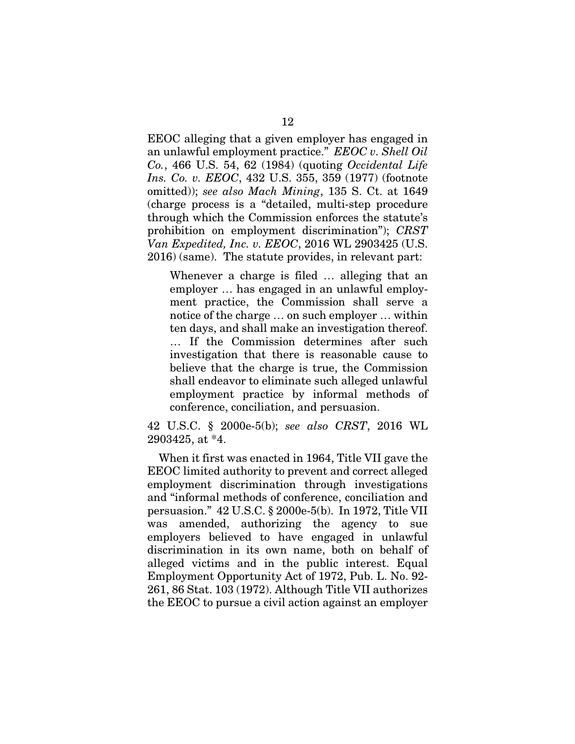EEOC alleging that a given employer has engaged in an unlawful employment practice." *EEOC v. Shell Oil Co.*, 466 U.S. 54, 62 (1984) (quoting *Occidental Life Ins. Co. v. EEOC*, 432 U.S. 355, 359 (1977) (footnote omitted)); *see also Mach Mining*, 135 S. Ct. at 1649 (charge process is a "detailed, multi-step procedure through which the Commission enforces the statute's prohibition on employment discrimination"); *CRST Van Expedited, Inc. v. EEOC*, 2016 WL 2903425 (U.S. 2016) (same). The statute provides, in relevant part:

Whenever a charge is filed … alleging that an employer … has engaged in an unlawful employment practice, the Commission shall serve a notice of the charge … on such employer … within ten days, and shall make an investigation thereof. … If the Commission determines after such investigation that there is reasonable cause to believe that the charge is true, the Commission shall endeavor to eliminate such alleged unlawful employment practice by informal methods of conference, conciliation, and persuasion.

42 U.S.C. § 2000e-5(b); *see also CRST*, 2016 WL 2903425, at \*4.

When it first was enacted in 1964, Title VII gave the EEOC limited authority to prevent and correct alleged employment discrimination through investigations and "informal methods of conference, conciliation and persuasion." 42 U.S.C. § 2000e-5(b). In 1972, Title VII was amended, authorizing the agency to sue employers believed to have engaged in unlawful discrimination in its own name, both on behalf of alleged victims and in the public interest. Equal Employment Opportunity Act of 1972, Pub. L. No. 92- 261, 86 Stat. 103 (1972). Although Title VII authorizes the EEOC to pursue a civil action against an employer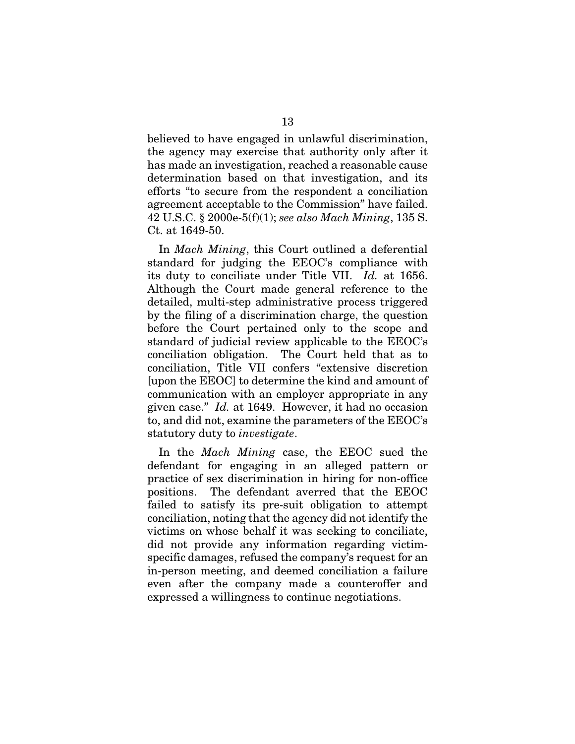believed to have engaged in unlawful discrimination, the agency may exercise that authority only after it has made an investigation, reached a reasonable cause determination based on that investigation, and its efforts "to secure from the respondent a conciliation agreement acceptable to the Commission" have failed. 42 U.S.C. § 2000e-5(f)(1); *see also Mach Mining*, 135 S. Ct. at 1649-50.

In *Mach Mining*, this Court outlined a deferential standard for judging the EEOC's compliance with its duty to conciliate under Title VII. *Id.* at 1656. Although the Court made general reference to the detailed, multi-step administrative process triggered by the filing of a discrimination charge, the question before the Court pertained only to the scope and standard of judicial review applicable to the EEOC's conciliation obligation. The Court held that as to conciliation, Title VII confers "extensive discretion [upon the EEOC] to determine the kind and amount of communication with an employer appropriate in any given case." *Id.* at 1649. However, it had no occasion to, and did not, examine the parameters of the EEOC's statutory duty to *investigate*.

In the *Mach Mining* case, the EEOC sued the defendant for engaging in an alleged pattern or practice of sex discrimination in hiring for non-office positions. The defendant averred that the EEOC failed to satisfy its pre-suit obligation to attempt conciliation, noting that the agency did not identify the victims on whose behalf it was seeking to conciliate, did not provide any information regarding victimspecific damages, refused the company's request for an in-person meeting, and deemed conciliation a failure even after the company made a counteroffer and expressed a willingness to continue negotiations.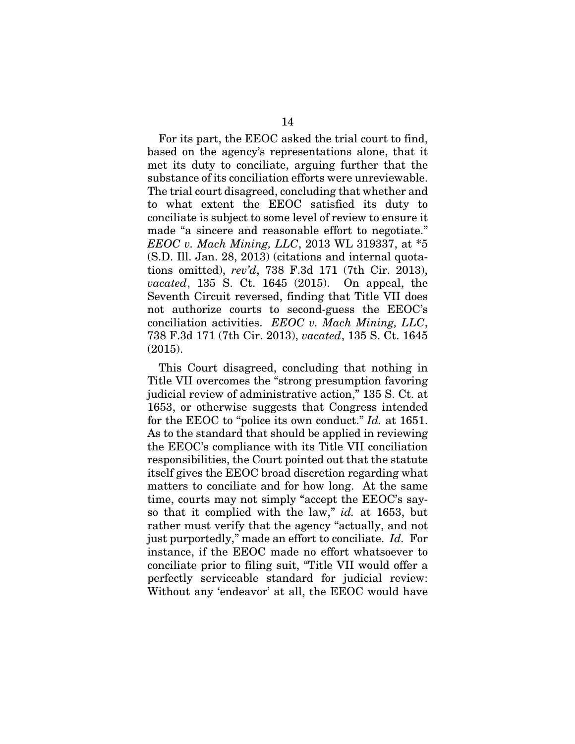For its part, the EEOC asked the trial court to find, based on the agency's representations alone, that it met its duty to conciliate, arguing further that the substance of its conciliation efforts were unreviewable. The trial court disagreed, concluding that whether and to what extent the EEOC satisfied its duty to conciliate is subject to some level of review to ensure it made "a sincere and reasonable effort to negotiate." *EEOC v. Mach Mining, LLC*, 2013 WL 319337, at \*5 (S.D. Ill. Jan. 28, 2013) (citations and internal quotations omitted), *rev'd*, 738 F.3d 171 (7th Cir. 2013), *vacated*, 135 S. Ct. 1645 (2015). On appeal, the Seventh Circuit reversed, finding that Title VII does not authorize courts to second-guess the EEOC's conciliation activities. *EEOC v. Mach Mining, LLC*, 738 F.3d 171 (7th Cir. 2013), *vacated*, 135 S. Ct. 1645 (2015).

This Court disagreed, concluding that nothing in Title VII overcomes the "strong presumption favoring judicial review of administrative action," 135 S. Ct. at 1653, or otherwise suggests that Congress intended for the EEOC to "police its own conduct." *Id.* at 1651. As to the standard that should be applied in reviewing the EEOC's compliance with its Title VII conciliation responsibilities, the Court pointed out that the statute itself gives the EEOC broad discretion regarding what matters to conciliate and for how long. At the same time, courts may not simply "accept the EEOC's sayso that it complied with the law," *id.* at 1653, but rather must verify that the agency "actually, and not just purportedly," made an effort to conciliate. *Id.* For instance, if the EEOC made no effort whatsoever to conciliate prior to filing suit, "Title VII would offer a perfectly serviceable standard for judicial review: Without any 'endeavor' at all, the EEOC would have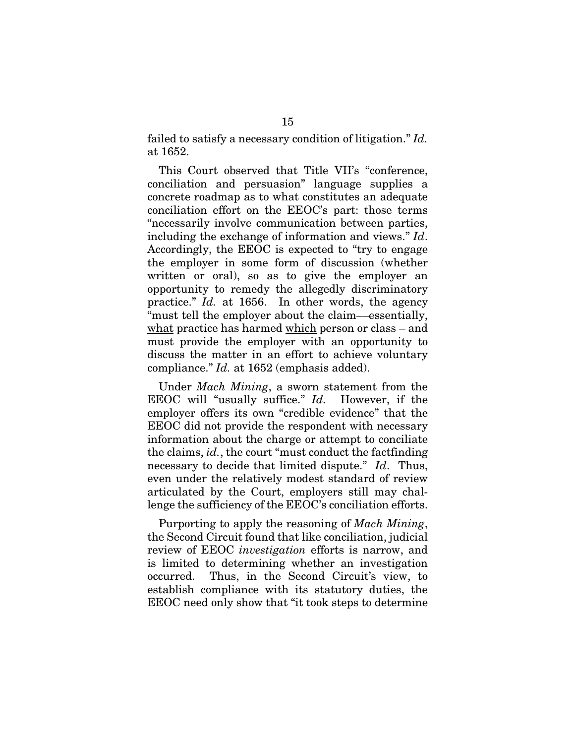failed to satisfy a necessary condition of litigation." *Id.* at 1652.

This Court observed that Title VII's "conference, conciliation and persuasion" language supplies a concrete roadmap as to what constitutes an adequate conciliation effort on the EEOC's part: those terms "necessarily involve communication between parties, including the exchange of information and views." *Id*. Accordingly, the EEOC is expected to "try to engage the employer in some form of discussion (whether written or oral), so as to give the employer an opportunity to remedy the allegedly discriminatory practice." *Id.* at 1656. In other words, the agency "must tell the employer about the claim––essentially, what practice has harmed which person or class – and must provide the employer with an opportunity to discuss the matter in an effort to achieve voluntary compliance." *Id.* at 1652 (emphasis added).

Under *Mach Mining*, a sworn statement from the EEOC will "usually suffice." *Id.* However, if the employer offers its own "credible evidence" that the EEOC did not provide the respondent with necessary information about the charge or attempt to conciliate the claims, *id.*, the court "must conduct the factfinding necessary to decide that limited dispute." *Id*. Thus, even under the relatively modest standard of review articulated by the Court, employers still may challenge the sufficiency of the EEOC's conciliation efforts.

Purporting to apply the reasoning of *Mach Mining*, the Second Circuit found that like conciliation, judicial review of EEOC *investigation* efforts is narrow, and is limited to determining whether an investigation occurred. Thus, in the Second Circuit's view, to establish compliance with its statutory duties, the EEOC need only show that "it took steps to determine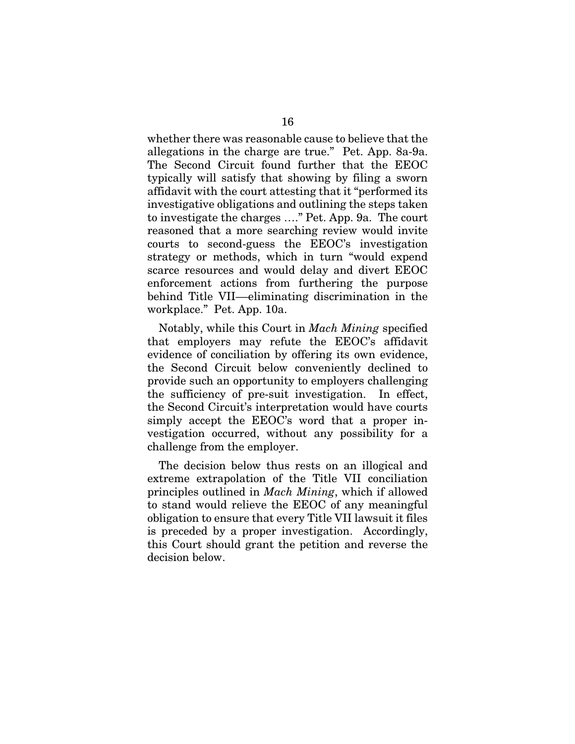whether there was reasonable cause to believe that the allegations in the charge are true." Pet. App. 8a-9a. The Second Circuit found further that the EEOC typically will satisfy that showing by filing a sworn affidavit with the court attesting that it "performed its investigative obligations and outlining the steps taken to investigate the charges …." Pet. App. 9a. The court reasoned that a more searching review would invite courts to second-guess the EEOC's investigation strategy or methods, which in turn "would expend scarce resources and would delay and divert EEOC enforcement actions from furthering the purpose behind Title VII––eliminating discrimination in the workplace." Pet. App. 10a.

Notably, while this Court in *Mach Mining* specified that employers may refute the EEOC's affidavit evidence of conciliation by offering its own evidence, the Second Circuit below conveniently declined to provide such an opportunity to employers challenging the sufficiency of pre-suit investigation. In effect, the Second Circuit's interpretation would have courts simply accept the EEOC's word that a proper investigation occurred, without any possibility for a challenge from the employer.

The decision below thus rests on an illogical and extreme extrapolation of the Title VII conciliation principles outlined in *Mach Mining*, which if allowed to stand would relieve the EEOC of any meaningful obligation to ensure that every Title VII lawsuit it files is preceded by a proper investigation. Accordingly, this Court should grant the petition and reverse the decision below.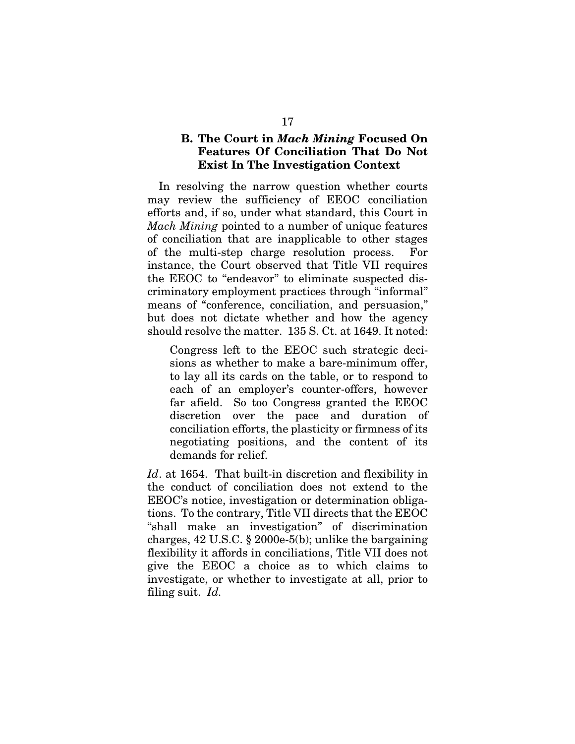### B. The Court in *Mach Mining* Focused On Features Of Conciliation That Do Not Exist In The Investigation Context

In resolving the narrow question whether courts may review the sufficiency of EEOC conciliation efforts and, if so, under what standard, this Court in *Mach Mining* pointed to a number of unique features of conciliation that are inapplicable to other stages of the multi-step charge resolution process. For instance, the Court observed that Title VII requires the EEOC to "endeavor" to eliminate suspected discriminatory employment practices through "informal" means of "conference, conciliation, and persuasion," but does not dictate whether and how the agency should resolve the matter. 135 S. Ct. at 1649. It noted:

Congress left to the EEOC such strategic decisions as whether to make a bare-minimum offer, to lay all its cards on the table, or to respond to each of an employer's counter-offers, however far afield. So too Congress granted the EEOC discretion over the pace and duration of conciliation efforts, the plasticity or firmness of its negotiating positions, and the content of its demands for relief.

*Id*. at 1654. That built-in discretion and flexibility in the conduct of conciliation does not extend to the EEOC's notice, investigation or determination obligations. To the contrary, Title VII directs that the EEOC "shall make an investigation" of discrimination charges, 42 U.S.C. § 2000e-5(b); unlike the bargaining flexibility it affords in conciliations, Title VII does not give the EEOC a choice as to which claims to investigate, or whether to investigate at all, prior to filing suit. *Id.*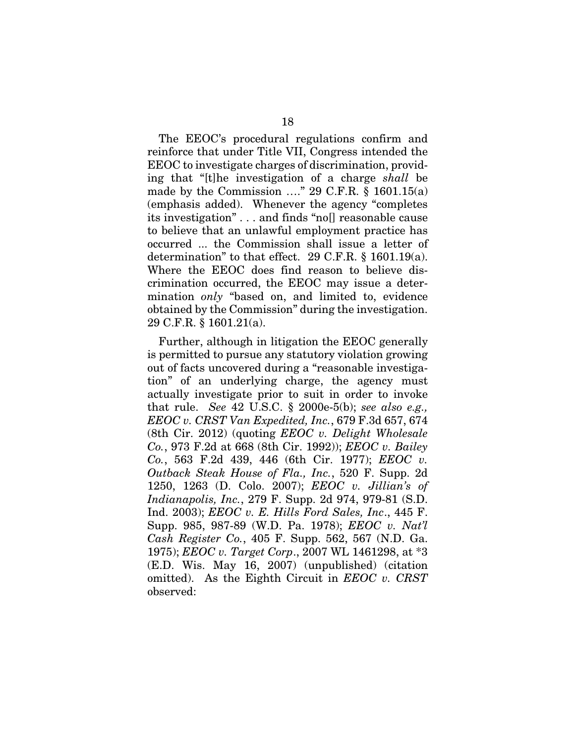The EEOC's procedural regulations confirm and reinforce that under Title VII, Congress intended the EEOC to investigate charges of discrimination, providing that "[t]he investigation of a charge *shall* be made by the Commission  $\ldots$ " 29 C.F.R. § 1601.15(a) (emphasis added). Whenever the agency "completes its investigation" . . . and finds "no[] reasonable cause to believe that an unlawful employment practice has occurred ... the Commission shall issue a letter of determination" to that effect. 29 C.F.R. § 1601.19(a). Where the EEOC does find reason to believe discrimination occurred, the EEOC may issue a determination *only* "based on, and limited to, evidence obtained by the Commission" during the investigation. 29 C.F.R. § 1601.21(a).

Further, although in litigation the EEOC generally is permitted to pursue any statutory violation growing out of facts uncovered during a "reasonable investigation" of an underlying charge, the agency must actually investigate prior to suit in order to invoke that rule. *See* 42 U.S.C. § 2000e-5(b); *see also e.g., EEOC v. CRST Van Expedited, Inc.*, 679 F.3d 657, 674 (8th Cir. 2012) (quoting *EEOC v. Delight Wholesale Co.*, 973 F.2d at 668 (8th Cir. 1992)); *EEOC v. Bailey Co.*, 563 F.2d 439, 446 (6th Cir. 1977); *EEOC v. Outback Steak House of Fla., Inc.*, 520 F. Supp. 2d 1250, 1263 (D. Colo. 2007); *EEOC v. Jillian's of Indianapolis, Inc.*, 279 F. Supp. 2d 974, 979-81 (S.D. Ind. 2003); *EEOC v. E. Hills Ford Sales, Inc*., 445 F. Supp. 985, 987-89 (W.D. Pa. 1978); *EEOC v. Nat'l Cash Register Co.*, 405 F. Supp. 562, 567 (N.D. Ga. 1975); *EEOC v. Target Corp*., 2007 WL 1461298, at \*3 (E.D. Wis. May 16, 2007) (unpublished) (citation omitted). As the Eighth Circuit in *EEOC v. CRST*  observed: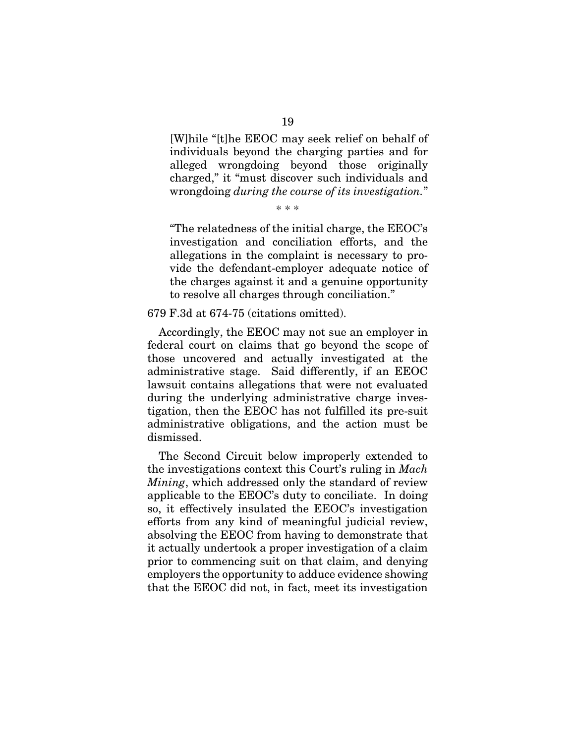[W]hile "[t]he EEOC may seek relief on behalf of individuals beyond the charging parties and for alleged wrongdoing beyond those originally charged," it "must discover such individuals and wrongdoing *during the course of its investigation.*"

\* \* \*

"The relatedness of the initial charge, the EEOC's investigation and conciliation efforts, and the allegations in the complaint is necessary to provide the defendant-employer adequate notice of the charges against it and a genuine opportunity to resolve all charges through conciliation."

679 F.3d at 674-75 (citations omitted).

Accordingly, the EEOC may not sue an employer in federal court on claims that go beyond the scope of those uncovered and actually investigated at the administrative stage. Said differently, if an EEOC lawsuit contains allegations that were not evaluated during the underlying administrative charge investigation, then the EEOC has not fulfilled its pre-suit administrative obligations, and the action must be dismissed.

The Second Circuit below improperly extended to the investigations context this Court's ruling in *Mach Mining*, which addressed only the standard of review applicable to the EEOC's duty to conciliate. In doing so, it effectively insulated the EEOC's investigation efforts from any kind of meaningful judicial review, absolving the EEOC from having to demonstrate that it actually undertook a proper investigation of a claim prior to commencing suit on that claim, and denying employers the opportunity to adduce evidence showing that the EEOC did not, in fact, meet its investigation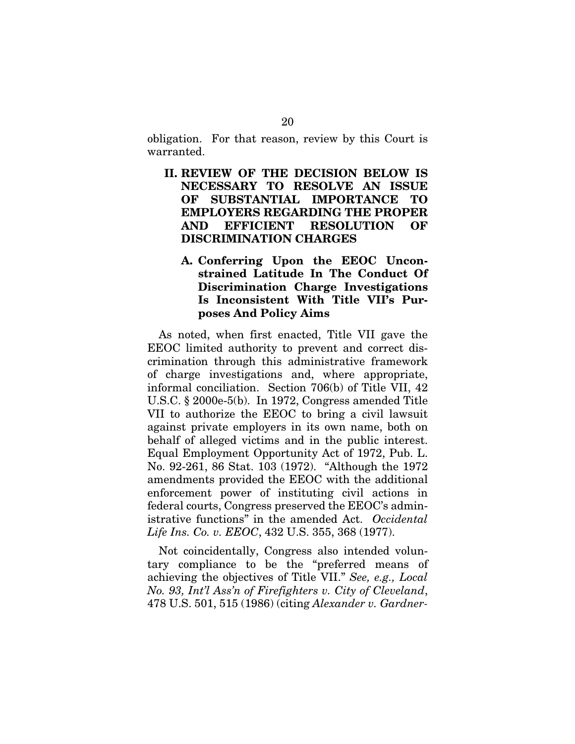obligation. For that reason, review by this Court is warranted.

- II. REVIEW OF THE DECISION BELOW IS NECESSARY TO RESOLVE AN ISSUE OF SUBSTANTIAL IMPORTANCE TO EMPLOYERS REGARDING THE PROPER AND EFFICIENT RESOLUTION OF DISCRIMINATION CHARGES
	- A. Conferring Upon the EEOC Unconstrained Latitude In The Conduct Of Discrimination Charge Investigations Is Inconsistent With Title VII's Purposes And Policy Aims

As noted, when first enacted, Title VII gave the EEOC limited authority to prevent and correct discrimination through this administrative framework of charge investigations and, where appropriate, informal conciliation. Section 706(b) of Title VII, 42 U.S.C. § 2000e-5(b). In 1972, Congress amended Title VII to authorize the EEOC to bring a civil lawsuit against private employers in its own name, both on behalf of alleged victims and in the public interest. Equal Employment Opportunity Act of 1972, Pub. L. No. 92-261, 86 Stat. 103 (1972). "Although the 1972 amendments provided the EEOC with the additional enforcement power of instituting civil actions in federal courts, Congress preserved the EEOC's administrative functions" in the amended Act. *Occidental Life Ins. Co. v. EEOC*, 432 U.S. 355, 368 (1977).

Not coincidentally, Congress also intended voluntary compliance to be the "preferred means of achieving the objectives of Title VII." *See, e.g., Local No. 93, Int'l Ass'n of Firefighters v. City of Cleveland*, 478 U.S. 501, 515 (1986) (citing *Alexander v. Gardner-*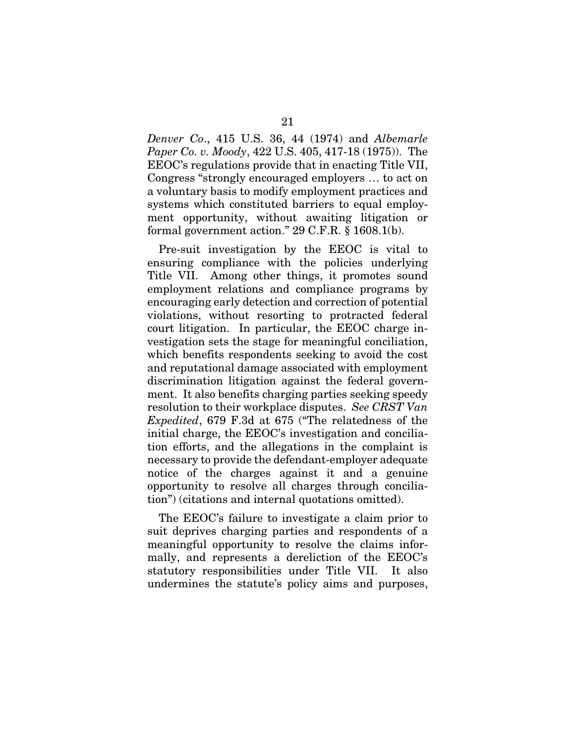*Denver Co*., 415 U.S. 36, 44 (1974) and *Albemarle Paper Co. v. Moody*, 422 U.S. 405, 417-18 (1975)). The EEOC's regulations provide that in enacting Title VII, Congress "strongly encouraged employers … to act on a voluntary basis to modify employment practices and systems which constituted barriers to equal employment opportunity, without awaiting litigation or formal government action." 29 C.F.R. § 1608.1(b).

Pre-suit investigation by the EEOC is vital to ensuring compliance with the policies underlying Title VII. Among other things, it promotes sound employment relations and compliance programs by encouraging early detection and correction of potential violations, without resorting to protracted federal court litigation. In particular, the EEOC charge investigation sets the stage for meaningful conciliation, which benefits respondents seeking to avoid the cost and reputational damage associated with employment discrimination litigation against the federal government. It also benefits charging parties seeking speedy resolution to their workplace disputes. *See CRST Van Expedited*, 679 F.3d at 675 ("The relatedness of the initial charge, the EEOC's investigation and conciliation efforts, and the allegations in the complaint is necessary to provide the defendant-employer adequate notice of the charges against it and a genuine opportunity to resolve all charges through conciliation") (citations and internal quotations omitted).

The EEOC's failure to investigate a claim prior to suit deprives charging parties and respondents of a meaningful opportunity to resolve the claims informally, and represents a dereliction of the EEOC's statutory responsibilities under Title VII. It also undermines the statute's policy aims and purposes,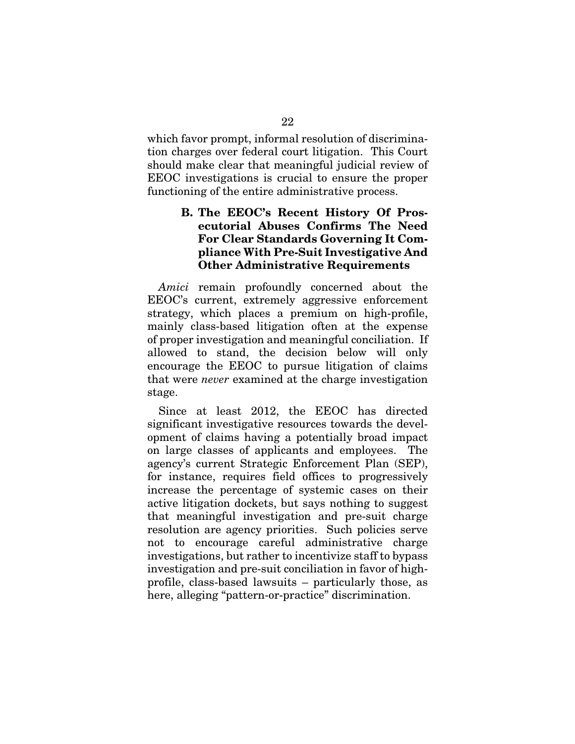which favor prompt, informal resolution of discrimination charges over federal court litigation. This Court should make clear that meaningful judicial review of EEOC investigations is crucial to ensure the proper functioning of the entire administrative process.

### B. The EEOC's Recent History Of Prosecutorial Abuses Confirms The Need For Clear Standards Governing It Compliance With Pre-Suit Investigative And Other Administrative Requirements

*Amici* remain profoundly concerned about the EEOC's current, extremely aggressive enforcement strategy, which places a premium on high-profile, mainly class-based litigation often at the expense of proper investigation and meaningful conciliation. If allowed to stand, the decision below will only encourage the EEOC to pursue litigation of claims that were *never* examined at the charge investigation stage.

Since at least 2012, the EEOC has directed significant investigative resources towards the development of claims having a potentially broad impact on large classes of applicants and employees. The agency's current Strategic Enforcement Plan (SEP), for instance, requires field offices to progressively increase the percentage of systemic cases on their active litigation dockets, but says nothing to suggest that meaningful investigation and pre-suit charge resolution are agency priorities. Such policies serve not to encourage careful administrative charge investigations, but rather to incentivize staff to bypass investigation and pre-suit conciliation in favor of highprofile, class-based lawsuits – particularly those, as here, alleging "pattern-or-practice" discrimination.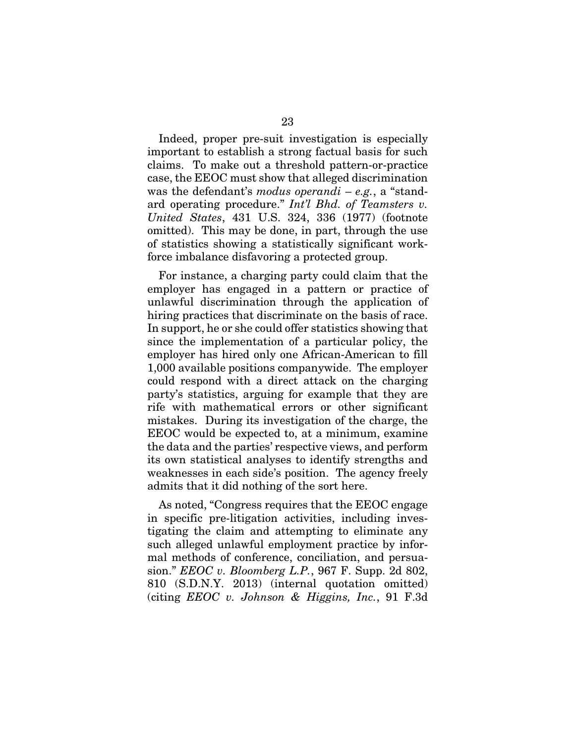Indeed, proper pre-suit investigation is especially important to establish a strong factual basis for such claims. To make out a threshold pattern-or-practice case, the EEOC must show that alleged discrimination was the defendant's *modus operandi* – *e.g.*, a "standard operating procedure." *Int'l Bhd. of Teamsters v. United States*, 431 U.S. 324, 336 (1977) (footnote omitted). This may be done, in part, through the use of statistics showing a statistically significant workforce imbalance disfavoring a protected group.

For instance, a charging party could claim that the employer has engaged in a pattern or practice of unlawful discrimination through the application of hiring practices that discriminate on the basis of race. In support, he or she could offer statistics showing that since the implementation of a particular policy, the employer has hired only one African-American to fill 1,000 available positions companywide. The employer could respond with a direct attack on the charging party's statistics, arguing for example that they are rife with mathematical errors or other significant mistakes. During its investigation of the charge, the EEOC would be expected to, at a minimum, examine the data and the parties' respective views, and perform its own statistical analyses to identify strengths and weaknesses in each side's position. The agency freely admits that it did nothing of the sort here.

As noted, "Congress requires that the EEOC engage in specific pre-litigation activities, including investigating the claim and attempting to eliminate any such alleged unlawful employment practice by informal methods of conference, conciliation, and persuasion." *EEOC v. Bloomberg L.P.*, 967 F. Supp. 2d 802, 810 (S.D.N.Y. 2013) (internal quotation omitted) (citing *EEOC v. Johnson & Higgins, Inc.*, 91 F.3d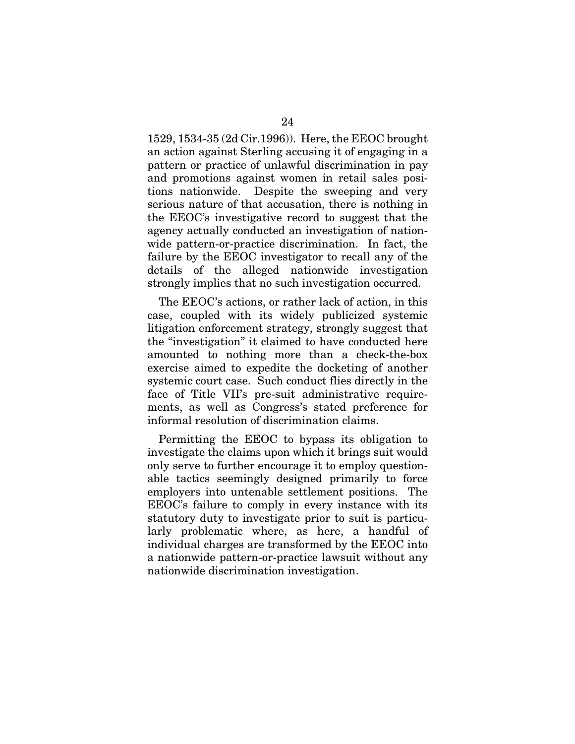1529, 1534-35 (2d Cir.1996)). Here, the EEOC brought an action against Sterling accusing it of engaging in a pattern or practice of unlawful discrimination in pay and promotions against women in retail sales positions nationwide. Despite the sweeping and very serious nature of that accusation, there is nothing in the EEOC's investigative record to suggest that the agency actually conducted an investigation of nationwide pattern-or-practice discrimination. In fact, the failure by the EEOC investigator to recall any of the details of the alleged nationwide investigation strongly implies that no such investigation occurred.

The EEOC's actions, or rather lack of action, in this case, coupled with its widely publicized systemic litigation enforcement strategy, strongly suggest that the "investigation" it claimed to have conducted here amounted to nothing more than a check-the-box exercise aimed to expedite the docketing of another systemic court case. Such conduct flies directly in the face of Title VII's pre-suit administrative requirements, as well as Congress's stated preference for informal resolution of discrimination claims.

Permitting the EEOC to bypass its obligation to investigate the claims upon which it brings suit would only serve to further encourage it to employ questionable tactics seemingly designed primarily to force employers into untenable settlement positions. The EEOC's failure to comply in every instance with its statutory duty to investigate prior to suit is particularly problematic where, as here, a handful of individual charges are transformed by the EEOC into a nationwide pattern-or-practice lawsuit without any nationwide discrimination investigation.